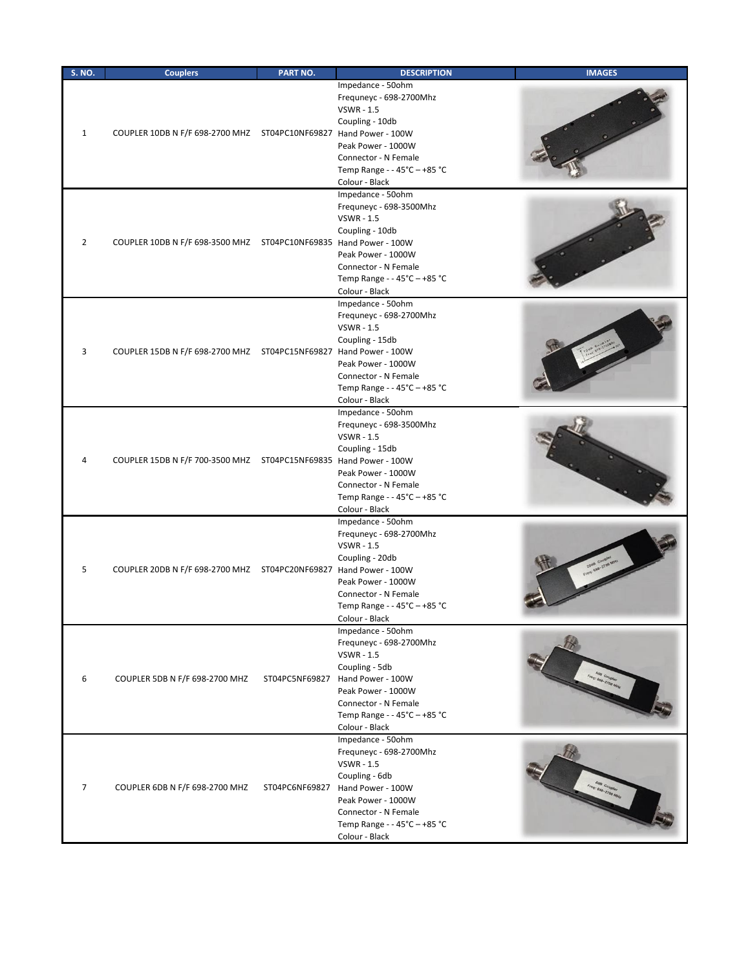| <b>S. NO.</b> | <b>Couplers</b>                                                         | PART NO.       | <b>DESCRIPTION</b>                                                                                                                                                                                       | <b>IMAGES</b>      |
|---------------|-------------------------------------------------------------------------|----------------|----------------------------------------------------------------------------------------------------------------------------------------------------------------------------------------------------------|--------------------|
| $1\,$         | COUPLER 10DB N F/F 698-2700 MHZ    ST04PC10NF69827    Hand Power - 100W |                | Impedance - 50ohm<br>Frequneyc - 698-2700Mhz<br><b>VSWR - 1.5</b><br>Coupling - 10db<br>Peak Power - 1000W<br>Connector - N Female<br>Temp Range - - 45°C - +85 °C<br>Colour - Black                     |                    |
| 2             | COUPLER 10DB N F/F 698-3500 MHZ ST04PC10NF69835 Hand Power - 100W       |                | Impedance - 50ohm<br>Frequneyc - 698-3500Mhz<br><b>VSWR - 1.5</b><br>Coupling - 10db<br>Peak Power - 1000W<br>Connector - N Female<br>Temp Range - - 45°C - +85 °C<br>Colour - Black                     |                    |
| 3             | COUPLER 15DB N F/F 698-2700 MHZ    ST04PC15NF69827    Hand Power - 100W |                | Impedance - 50ohm<br>Frequneyc - 698-2700Mhz<br><b>VSWR - 1.5</b><br>Coupling - 15db<br>Peak Power - 1000W<br>Connector - N Female<br>Temp Range - - 45°C - +85 °C<br>Colour - Black                     |                    |
| 4             | COUPLER 15DB N F/F 700-3500 MHZ ST04PC15NF69835 Hand Power - 100W       |                | Impedance - 50ohm<br>Frequneyc - 698-3500Mhz<br><b>VSWR - 1.5</b><br>Coupling - 15db<br>Peak Power - 1000W<br>Connector - N Female<br>Temp Range - - 45°C - +85 °C<br>Colour - Black                     |                    |
| 5             | COUPLER 20DB N F/F 698-2700 MHZ    ST04PC20NF69827 Hand Power - 100W    |                | Impedance - 50ohm<br>Frequneyc - 698-2700Mhz<br><b>VSWR - 1.5</b><br>Coupling - 20db<br>Peak Power - 1000W<br>Connector - N Female<br>Temp Range - - 45°C - +85 °C<br>Colour - Black                     |                    |
| 6             | COUPLER 5DB N F/F 698-2700 MHZ                                          | ST04PC5NF69827 | Impedance - 50ohm<br>Frequneyc - 698-2700Mhz<br><b>VSWR - 1.5</b><br>Coupling - 5db<br>Hand Power - 100W<br>Peak Power - 1000W<br>Connector - N Female<br>Temp Range - - 45°C - +85 °C<br>Colour - Black | Freq: 698 Coupler  |
| 7             | COUPLER 6DB N F/F 698-2700 MHZ                                          | ST04PC6NF69827 | Impedance - 50ohm<br>Frequneyc - 698-2700Mhz<br><b>VSWR - 1.5</b><br>Coupling - 6db<br>Hand Power - 100W<br>Peak Power - 1000W<br>Connector - N Female<br>Temp Range - - 45°C - +85 °C<br>Colour - Black | Freq: 636-2700 MHz |